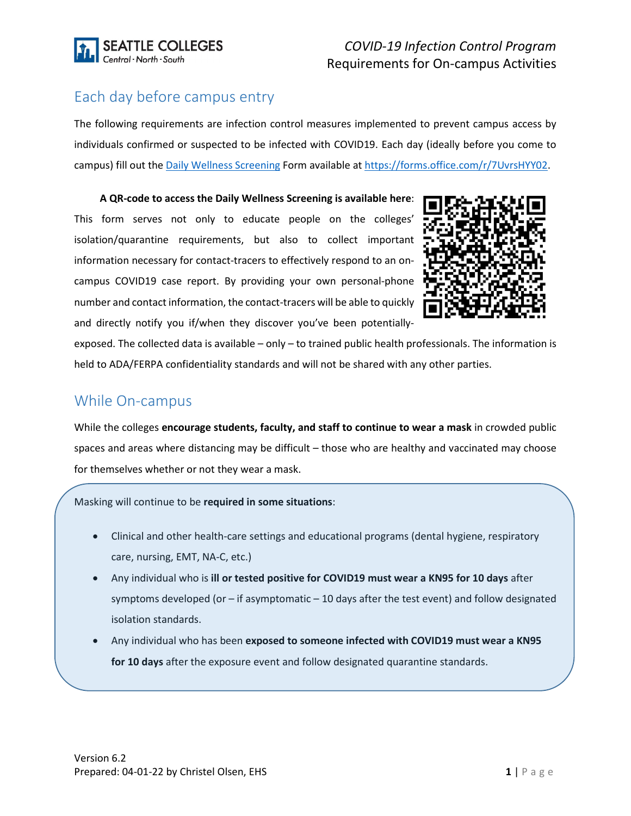

# Each day before campus entry

The following requirements are infection control measures implemented to prevent campus access by individuals confirmed or suspected to be infected with COVID19. Each day (ideally before you come to campus) fill out the [Daily Wellness Screening](https://forms.office.com/r/7UvrsHYY02) Form available at [https://forms.office.com/r/7UvrsHYY02.](https://forms.office.com/r/7UvrsHYY02)

**A QR-code to access the Daily Wellness Screening is available here**: This form serves not only to educate people on the colleges' isolation/quarantine requirements, but also to collect important information necessary for contact-tracers to effectively respond to an oncampus COVID19 case report. By providing your own personal-phone number and contact information, the contact-tracers will be able to quickly and directly notify you if/when they discover you've been potentially-



exposed. The collected data is available – only – to trained public health professionals. The information is held to ADA/FERPA confidentiality standards and will not be shared with any other parties.

# While On-campus

While the colleges **encourage students, faculty, and staff to continue to wear a mask** in crowded public spaces and areas where distancing may be difficult – those who are healthy and vaccinated may choose for themselves whether or not they wear a mask.

Masking will continue to be **required in some situations**:

- Clinical and other health-care settings and educational programs (dental hygiene, respiratory care, nursing, EMT, NA-C, etc.)
- Any individual who is **ill or tested positive for COVID19 must wear a KN95 for 10 days** after symptoms developed (or – if asymptomatic – 10 days after the test event) and follow designated isolation standards.
- Any individual who has been **exposed to someone infected with COVID19 must wear a KN95 for 10 days** after the exposure event and follow designated quarantine standards.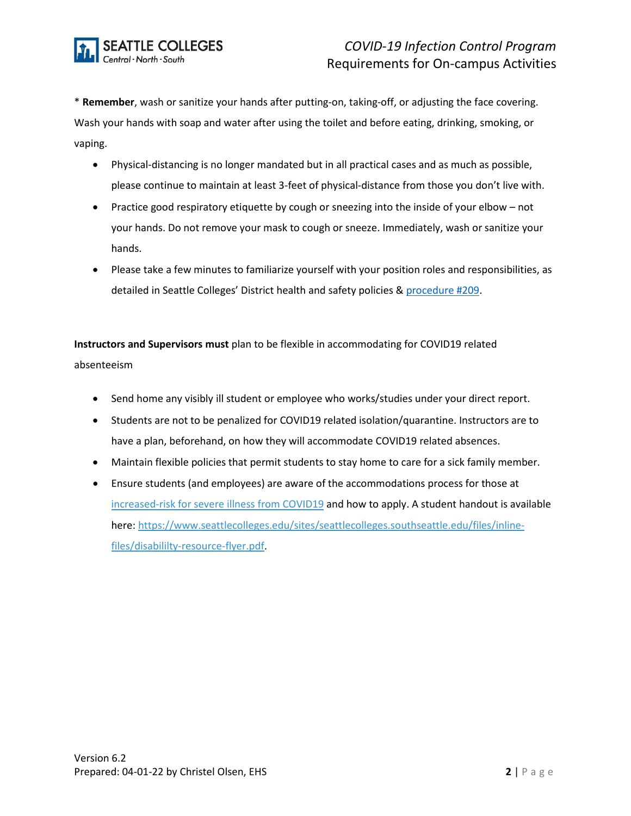

\* **Remember**, wash or sanitize your hands after putting-on, taking-off, or adjusting the face covering. Wash your hands with soap and water after using the toilet and before eating, drinking, smoking, or vaping.

- Physical-distancing is no longer mandated but in all practical cases and as much as possible, please continue to maintain at least 3-feet of physical-distance from those you don't live with.
- Practice good respiratory etiquette by cough or sneezing into the inside of your elbow not your hands. Do not remove your mask to cough or sneeze. Immediately, wash or sanitize your hands.
- Please take a few minutes to familiarize yourself with your position roles and responsibilities, as detailed in Seattle Colleges' District health and safety policies & [procedure #209.](https://www.seattlecolleges.edu/about/policies-and-procedures/pro209?hasboth=1&docID=209&companionId=pol)

**Instructors and Supervisors must** plan to be flexible in accommodating for COVID19 related absenteeism

- Send home any visibly ill student or employee who works/studies under your direct report.
- Students are not to be penalized for COVID19 related isolation/quarantine. Instructors are to have a plan, beforehand, on how they will accommodate COVID19 related absences.
- Maintain flexible policies that permit students to stay home to care for a sick family member.
- Ensure students (and employees) are aware of the accommodations process for those a[t](https://www.cdc.gov/coronavirus/2019-ncov/need-extra-precautions/index.html) [increased-risk for severe illness from COVID19](https://www.cdc.gov/coronavirus/2019-ncov/need-extra-precautions/index.html) and how to apply. A student handout is available here: [https://www.seattlecolleges.edu/sites/seattlecolleges.southseattle.edu/files/inline](https://www.seattlecolleges.edu/sites/seattlecolleges.southseattle.edu/files/inline-files/disabililty-resource-flyer.pdf)[files/disabililty-resource-flyer.pdf.](https://www.seattlecolleges.edu/sites/seattlecolleges.southseattle.edu/files/inline-files/disabililty-resource-flyer.pdf)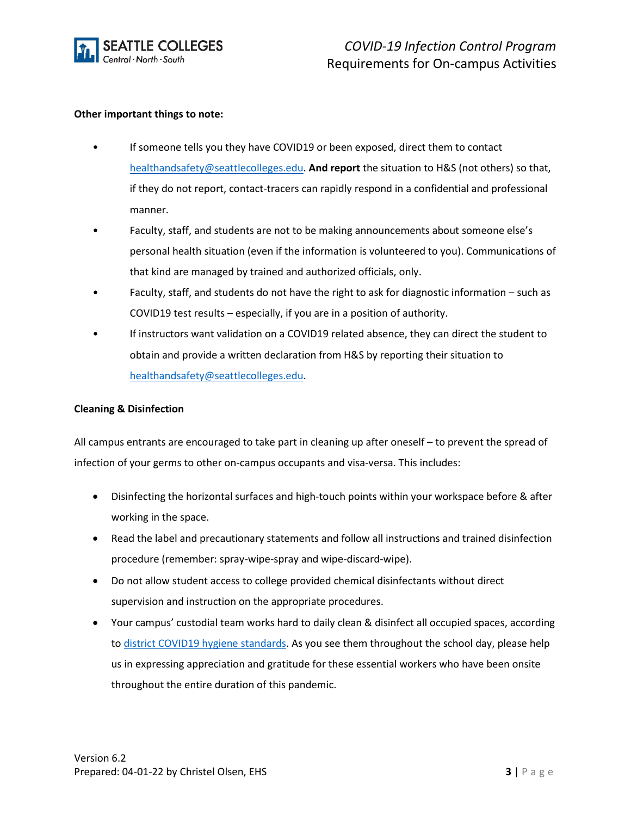

#### **Other important things to note:**

- If someone tells you they have COVID19 or been exposed, direct them to contact [healthandsafety@seattlecolleges.edu.](mailto:healthandsafety@seattlecolleges.edu) **And report** the situation to H&S (not others) so that, if they do not report, contact-tracers can rapidly respond in a confidential and professional manner.
- Faculty, staff, and students are not to be making announcements about someone else's personal health situation (even if the information is volunteered to you). Communications of that kind are managed by trained and authorized officials, only.
- Faculty, staff, and students do not have the right to ask for diagnostic information such as COVID19 test results – especially, if you are in a position of authority.
- If instructors want validation on a COVID19 related absence, they can direct the student to obtain and provide a written declaration from H&S by reporting their situation to [healthandsafety@seattlecolleges.edu.](mailto:healthandsafety@seattlecolleges.edu)

#### **Cleaning & Disinfection**

All campus entrants are encouraged to take part in cleaning up after oneself – to prevent the spread of infection of your germs to other on-campus occupants and visa-versa. This includes:

- Disinfecting the horizontal surfaces and high-touch points within your workspace before & after working in the space.
- Read the label and precautionary statements and follow all instructions and trained disinfection procedure (remember: spray-wipe-spray and wipe-discard-wipe).
- Do not allow student access to college provided chemical disinfectants without direct supervision and instruction on the appropriate procedures.
- Your campus' custodial team works hard to daily clean & disinfect all occupied spaces, according to [district COVID19 hygiene standards.](https://nam04.safelinks.protection.outlook.com/ap/b-59584e83/?url=https%3A%2F%2Fscedu-my.sharepoint.com%2F%3Ab%3A%2Fg%2Fpersonal%2Fchristel_olsen2_seattlecolleges_edu%2FEWfAvArJ_G1PpYjsWvKtAFcBuJ1h3zimcA0LU3eAx0m0-A%3Fe%3DMOqBxb&data=04%7C01%7C%7Ce2b6716879bb4edb74d508d8ffad1280%7C02d8ff38d7114e31a9156cb5cff788df%7C0%7C0%7C637540466091567398%7CUnknown%7CTWFpbGZsb3d8eyJWIjoiMC4wLjAwMDAiLCJQIjoiV2luMzIiLCJBTiI6Ik1haWwiLCJXVCI6Mn0%3D%7C1000&sdata=KznFPoJ3wt95MhCJBsyUFfwLuSg%2Ff4knNsRJK1oyHGM%3D&reserved=0) As you see them throughout the school day, please help us in expressing appreciation and gratitude for these essential workers who have been onsite throughout the entire duration of this pandemic.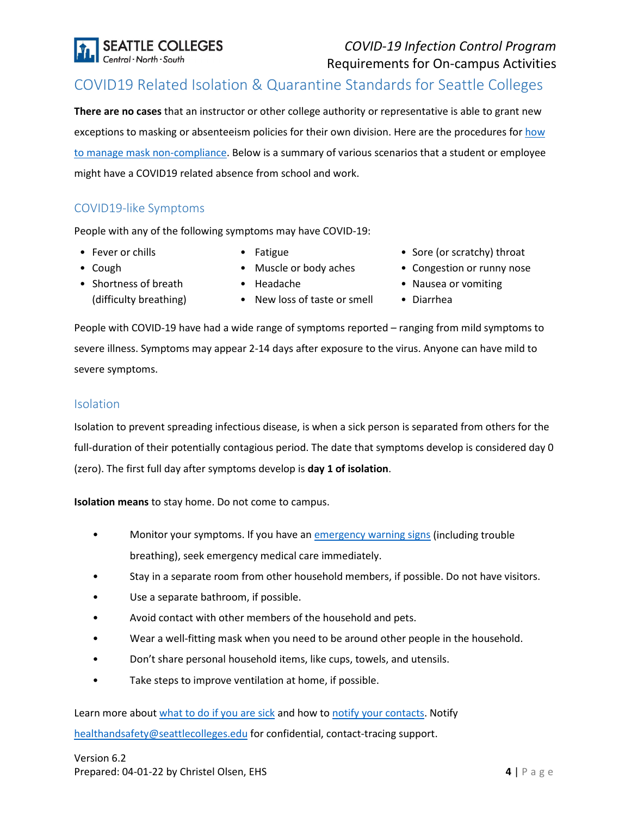

## *COVID-19 Infection Control Program* Requirements for On-campus Activities

# COVID19 Related Isolation & Quarantine Standards for Seattle Colleges

**There are no cases** that an instructor or other college authority or representative is able to grant new exceptions to masking or absenteeism policies for their own division. Here are the procedures for how [to manage mask non-compliance.](https://scedu-my.sharepoint.com/:b:/g/personal/christel_olsen2_seattlecolleges_edu/ET3W-HWIGDZJiqrHwhrKbGcBQDrfKL-bGK4ta4ArczZK7Q?e=G155U9) Below is a summary of various scenarios that a student or employee might have a COVID19 related absence from school and work.

### <span id="page-3-0"></span>COVID19-like Symptoms

People with any of the following symptoms may have COVID-19:

- Fever or chills
- Fatigue

• Headache

- Cough
- Shortness of breath
- Muscle or body aches
- (difficulty breathing)
- New loss of taste or smell
- Sore (or scratchy) throat
- Congestion or runny nose
- Nausea or vomiting
- Diarrhea

People with COVID-19 have had a wide range of symptoms reported – ranging from mild symptoms to severe illness. Symptoms may appear 2-14 days after exposure to the virus. Anyone can have mild to severe symptoms.

#### <span id="page-3-1"></span>Isolation

Isolation to prevent spreading infectious disease, is when a sick person is separated from others for the full-duration of their potentially contagious period. The date that symptoms develop is considered day 0 (zero). The first full day after symptoms develop is **day 1 of isolation**.

**Isolation means** to stay home. Do not come to campus.

- Monitor your symptoms. If you have an [emergency warning signs](https://www.cdc.gov/coronavirus/2019-ncov/symptoms-testing/symptoms.html#emergency-medical-attention) (including trouble breathing), seek emergency medical care immediately.
- Stay in a separate room from other household members, if possible. Do not have visitors.
- Use a separate bathroom, if possible.
- Avoid contact with other members of the household and pets.
- Wear a well-fitting mask when you need to be around other people in the household.
- Don't share personal household items, like cups, towels, and utensils.
- Take steps to improve ventilation at home, if possible.

Learn more abou[t what to do if you are sick](https://www.cdc.gov/coronavirus/2019-ncov/if-you-are-sick/steps-when-sick.html) and how to [notify your contacts.](https://www.cdc.gov/coronavirus/2019-ncov/daily-life-coping/contact-tracing.html) Notify [healthandsafety@seattlecolleges.edu](mailto:healthandsafety@seattlecolleges.edu) for confidential, contact-tracing support.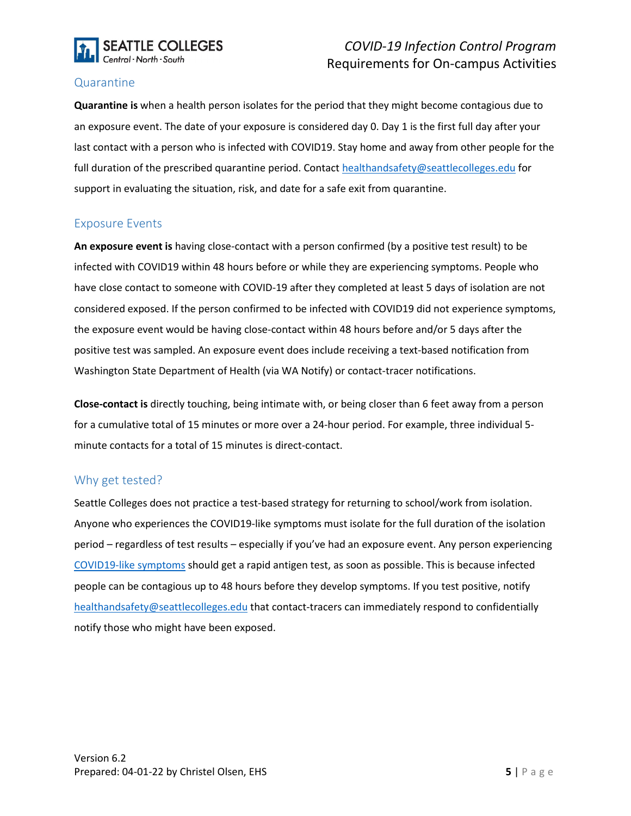

## *COVID-19 Infection Control Program* Requirements for On-campus Activities

### <span id="page-4-2"></span>Quarantine

**Quarantine is** when a health person isolates for the period that they might become contagious due to an exposure event. The date of your exposure is considered day 0. Day 1 is the first full day after your last contact with a person who is infected with COVID19. Stay home and away from other people for the full duration of the prescribed quarantine period. Contact [healthandsafety@seattlecolleges.edu](mailto:healthandsafety@seattlecolleges.edu) for support in evaluating the situation, risk, and date for a safe exit from quarantine.

### <span id="page-4-1"></span>Exposure Events

**An exposure event is** having close-contact with a person confirmed (by a positive test result) to be infected with COVID19 within 48 hours before or while they are experiencing symptoms. People who have close contact to someone with COVID-19 after they completed at least 5 days of isolation are not considered exposed. If the person confirmed to be infected with COVID19 did not experience symptoms, the exposure event would be having close-contact within 48 hours before and/or 5 days after the positive test was sampled. An exposure event does include receiving a text-based notification from Washington State Department of Health (via WA Notify) or contact-tracer notifications.

**Close-contact is** directly touching, being intimate with, or being closer than 6 feet away from a person for a cumulative total of 15 minutes or more over a 24-hour period. For example, three individual 5 minute contacts for a total of 15 minutes is direct-contact.

### <span id="page-4-0"></span>Why get tested?

Seattle Colleges does not practice a test-based strategy for returning to school/work from isolation. Anyone who experiences the COVID19-like symptoms must isolate for the full duration of the isolation period – regardless of test results – especially if you've had an exposure event. Any person experiencing [COVID19-like symptoms](#page-3-0) should get a rapid antigen test, as soon as possible. This is because infected people can be contagious up to 48 hours before they develop symptoms. If you test positive, notify [healthandsafety@seattlecolleges.edu](mailto:healthandsafety@seattlecolleges.edu) that contact-tracers can immediately respond to confidentially notify those who might have been exposed.